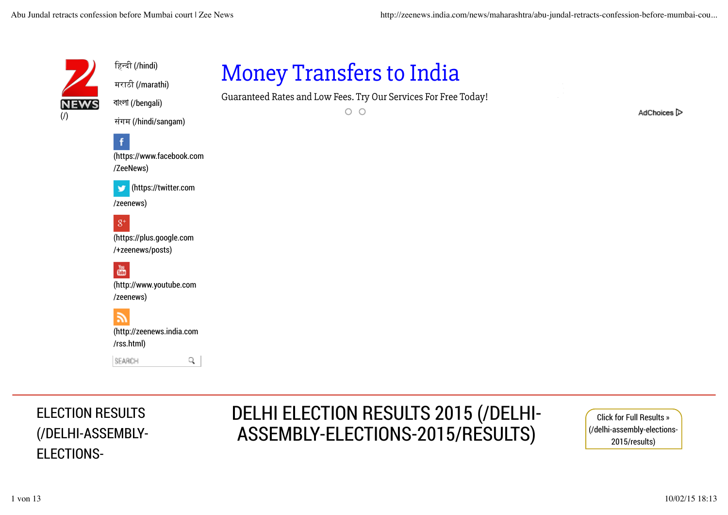

हिन्दी (/hindi)

मराठी (/marathi) বাংলা (/bengali)

## Money Transfers to India

Guaranteed Rates and Low Fees. Try Our Services For Free Today!

 $O$   $O$ 

AdChoices<sup>1</sup>

संगम (/hindi/sangam)

(https://www.facebook.com /ZeeNews)

(https://twitter.com

/zeenews)

f

 $8^+$ (https://plus.google.com /+zeenews/posts)

畵 (http://www.youtube.com /zeenews)

(http://zeenews.india.com /rss.html)

SEARCH

q

ELECTION RESULTS (/DELHI-ASSEMBLY-ELECTIONS-

### DELHI ELECTION RESULTS 2015 (/DELHI-ASSEMBLY-ELECTIONS-2015/RESULTS)

Click for Full Results » (/delhi-assembly-elections-2015/results)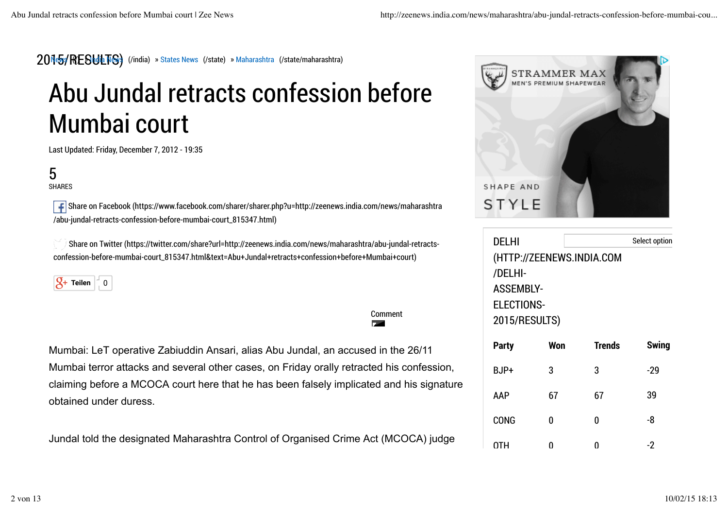#### 2015/RESULTS) (/india) » States News (/state) » Maharashtra (/state/maharashtra)

# Abu Jundal retracts confession before Mumbai court

Last Updated: Friday, December 7, 2012 - 19:35

### 5

SHARES

 Share on Facebook (https://www.facebook.com/sharer/sharer.php?u=http://zeenews.india.com/news/maharashtra /abu-jundal-retracts-confession-before-mumbai-court\_815347.html)

 Share on Twitter (https://twitter.com/share?url=http://zeenews.india.com/news/maharashtra/abu-jundal-retractsconfession-before-mumbai-court\_815347.html&text=Abu+Jundal+retracts+confession+before+Mumbai+court)

 $\mathcal{G}_+$  Teilen  $\begin{bmatrix} 1 & 0 \\ 0 & 0 \end{bmatrix}$ 

Mumbai: LeT operative Zabiuddin Ansari, alias Abu Jundal, an accused in the 26/11 Mumbai terror attacks and several other cases, on Friday orally retracted his confession, claiming before a MCOCA court here that he has been falsely implicated and his signature obtained under duress.

Comment

**P.A.** 

Jundal told the designated Maharashtra Control of Organised Crime Act (MCOCA) judge



| DELHI<br>Select option<br>(HTTP://ZEENEWS.INDIA.COM<br>/DELHI-<br><b>ASSEMBLY-</b><br><b>ELECTIONS-</b><br>2015/RESULTS) |     |        |              |
|--------------------------------------------------------------------------------------------------------------------------|-----|--------|--------------|
| <b>Party</b>                                                                                                             | Won | Trends | <b>Swing</b> |
| BJP+                                                                                                                     | 3   | 3      | $-29$        |
| AAP                                                                                                                      | 67  | 67     | 39           |
| CONG                                                                                                                     | N   | N      | -8           |
| 0TH                                                                                                                      | N   | N      | -2           |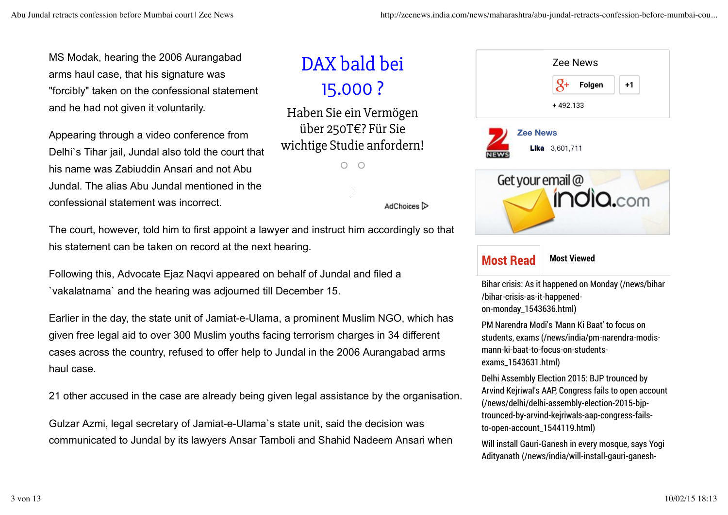MS Modak, hearing the 2006 Aurangabad arms haul case, that his signature was "forcibly" taken on the confessional statement and he had not given it voluntarily.

Appearing through a video conference from Delhi`s Tihar jail, Jundal also told the court that his name was Zabiuddin Ansari and not Abu Jundal. The alias Abu Jundal mentioned in the confessional statement was incorrect.

### DAX bald bei 15.000 ?

Haben Sie ein Vermögen über 250T€? Für Sie wichtige Studie anfordern!

> $\circ$  $\bigcirc$



Bihar crisis: As it happened on Monday (/news/bihar /bihar-crisis-as-it-happenedon-monday\_1543636.html)

PM Narendra Modi's 'Mann Ki Baat' to focus on students, exams (/news/india/pm-narendra-modismann-ki-baat-to-focus-on-studentsexams\_1543631.html)

Delhi Assembly Election 2015: BJP trounced by Arvind Kejriwal's AAP, Congress fails to open account (/news/delhi/delhi-assembly-election-2015-bjptrounced-by-arvind-kejriwals-aap-congress-failsto-open-account\_1544119.html)

Will install Gauri-Ganesh in every mosque, says Yogi Adityanath (/news/india/will-install-gauri-ganesh-

AdChoices ि

The court, however, told him to first appoint a lawyer and instruct him accordingly so that his statement can be taken on record at the next hearing.

Following this, Advocate Ejaz Naqvi appeared on behalf of Jundal and filed a `vakalatnama` and the hearing was adjourned till December 15.

Earlier in the day, the state unit of Jamiat-e-Ulama, a prominent Muslim NGO, which has given free legal aid to over 300 Muslim youths facing terrorism charges in 34 different cases across the country, refused to offer help to Jundal in the 2006 Aurangabad arms haul case.

21 other accused in the case are already being given legal assistance by the organisation.

Gulzar Azmi, legal secretary of Jamiat-e-Ulama`s state unit, said the decision was communicated to Jundal by its lawyers Ansar Tamboli and Shahid Nadeem Ansari when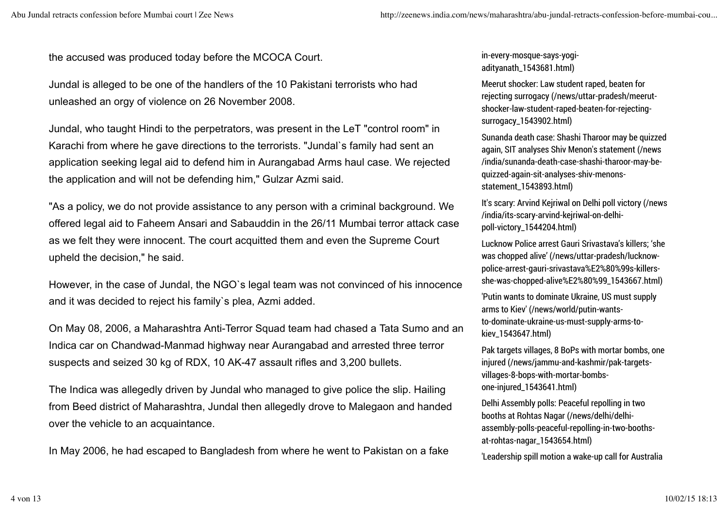the accused was produced today before the MCOCA Court.

Jundal is alleged to be one of the handlers of the 10 Pakistani terrorists who had unleashed an orgy of violence on 26 November 2008.

Jundal, who taught Hindi to the perpetrators, was present in the LeT "control room" in Karachi from where he gave directions to the terrorists. "Jundal`s family had sent an application seeking legal aid to defend him in Aurangabad Arms haul case. We rejected the application and will not be defending him," Gulzar Azmi said.

"As a policy, we do not provide assistance to any person with a criminal background. We offered legal aid to Faheem Ansari and Sabauddin in the 26/11 Mumbai terror attack case as we felt they were innocent. The court acquitted them and even the Supreme Court upheld the decision," he said.

However, in the case of Jundal, the NGO`s legal team was not convinced of his innocence and it was decided to reject his family`s plea, Azmi added.

On May 08, 2006, a Maharashtra Anti-Terror Squad team had chased a Tata Sumo and an Indica car on Chandwad-Manmad highway near Aurangabad and arrested three terror suspects and seized 30 kg of RDX, 10 AK-47 assault rifles and 3,200 bullets.

The Indica was allegedly driven by Jundal who managed to give police the slip. Hailing from Beed district of Maharashtra, Jundal then allegedly drove to Malegaon and handed over the vehicle to an acquaintance.

In May 2006, he had escaped to Bangladesh from where he went to Pakistan on a fake

in-every-mosque-says-yogiadityanath\_1543681.html)

Meerut shocker: Law student raped, beaten for rejecting surrogacy (/news/uttar-pradesh/meerutshocker-law-student-raped-beaten-for-rejectingsurrogacy\_1543902.html)

Sunanda death case: Shashi Tharoor may be quizzed again, SIT analyses Shiv Menon's statement (/news /india/sunanda-death-case-shashi-tharoor-may-bequizzed-again-sit-analyses-shiv-menonsstatement\_1543893.html)

It's scary: Arvind Kejriwal on Delhi poll victory (/news /india/its-scary-arvind-kejriwal-on-delhipoll-victory\_1544204.html)

Lucknow Police arrest Gauri Srivastava's killers; 'she was chopped alive' (/news/uttar-pradesh/lucknowpolice-arrest-gauri-srivastava%E2%80%99s-killersshe-was-chopped-alive%E2%80%99\_1543667.html)

'Putin wants to dominate Ukraine, US must supply arms to Kiev' (/news/world/putin-wantsto-dominate-ukraine-us-must-supply-arms-tokiev\_1543647.html)

Pak targets villages, 8 BoPs with mortar bombs, one injured (/news/jammu-and-kashmir/pak-targetsvillages-8-bops-with-mortar-bombsone-injured\_1543641.html)

Delhi Assembly polls: Peaceful repolling in two booths at Rohtas Nagar (/news/delhi/delhiassembly-polls-peaceful-repolling-in-two-boothsat-rohtas-nagar\_1543654.html)

'Leadership spill motion a wake-up call for Australia